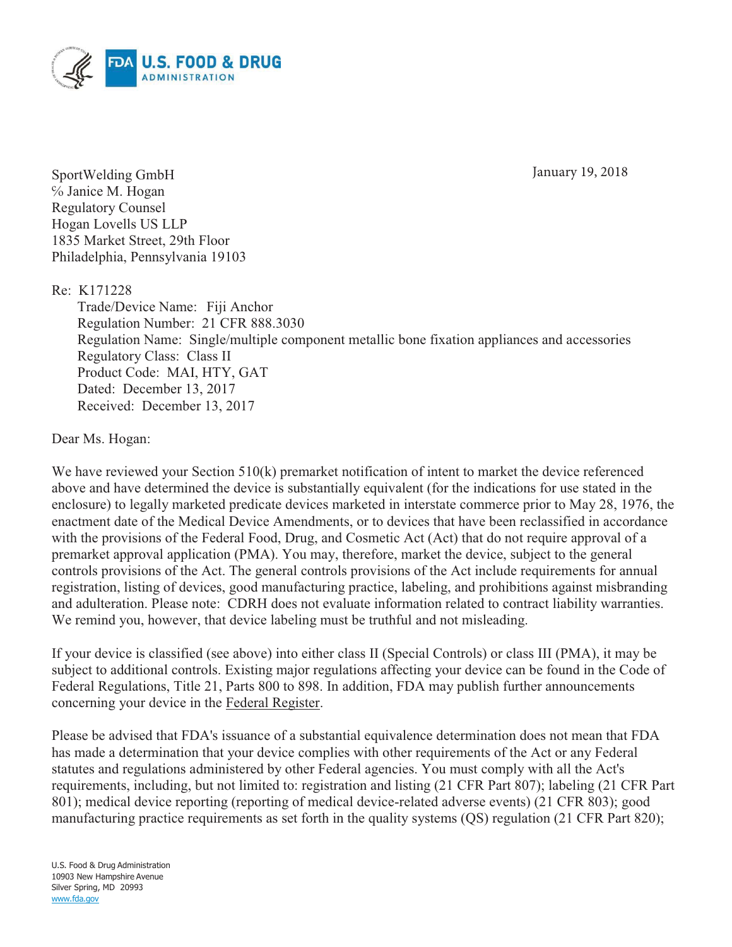January 19, 2018



SportWelding GmbH ℅ Janice M. Hogan Regulatory Counsel Hogan Lovells US LLP 1835 Market Street, 29th Floor Philadelphia, Pennsylvania 19103

Re: K171228

Trade/Device Name: Fiji Anchor Regulation Number: 21 CFR 888.3030 Regulation Name: Single/multiple component metallic bone fixation appliances and accessories Regulatory Class: Class II Product Code: MAI, HTY, GAT Dated: December 13, 2017 Received: December 13, 2017

Dear Ms. Hogan:

We have reviewed your Section 510(k) premarket notification of intent to market the device referenced above and have determined the device is substantially equivalent (for the indications for use stated in the enclosure) to legally marketed predicate devices marketed in interstate commerce prior to May 28, 1976, the enactment date of the Medical Device Amendments, or to devices that have been reclassified in accordance with the provisions of the Federal Food, Drug, and Cosmetic Act (Act) that do not require approval of a premarket approval application (PMA). You may, therefore, market the device, subject to the general controls provisions of the Act. The general controls provisions of the Act include requirements for annual registration, listing of devices, good manufacturing practice, labeling, and prohibitions against misbranding and adulteration. Please note: CDRH does not evaluate information related to contract liability warranties. We remind you, however, that device labeling must be truthful and not misleading.

If your device is classified (see above) into either class II (Special Controls) or class III (PMA), it may be subject to additional controls. Existing major regulations affecting your device can be found in the Code of Federal Regulations, Title 21, Parts 800 to 898. In addition, FDA may publish further announcements concerning your device in the Federal Register.

Please be advised that FDA's issuance of a substantial equivalence determination does not mean that FDA has made a determination that your device complies with other requirements of the Act or any Federal statutes and regulations administered by other Federal agencies. You must comply with all the Act's requirements, including, but not limited to: registration and listing (21 CFR Part 807); labeling (21 CFR Part 801); medical device reporting (reporting of medical device-related adverse events) (21 CFR 803); good manufacturing practice requirements as set forth in the quality systems (QS) regulation (21 CFR Part 820);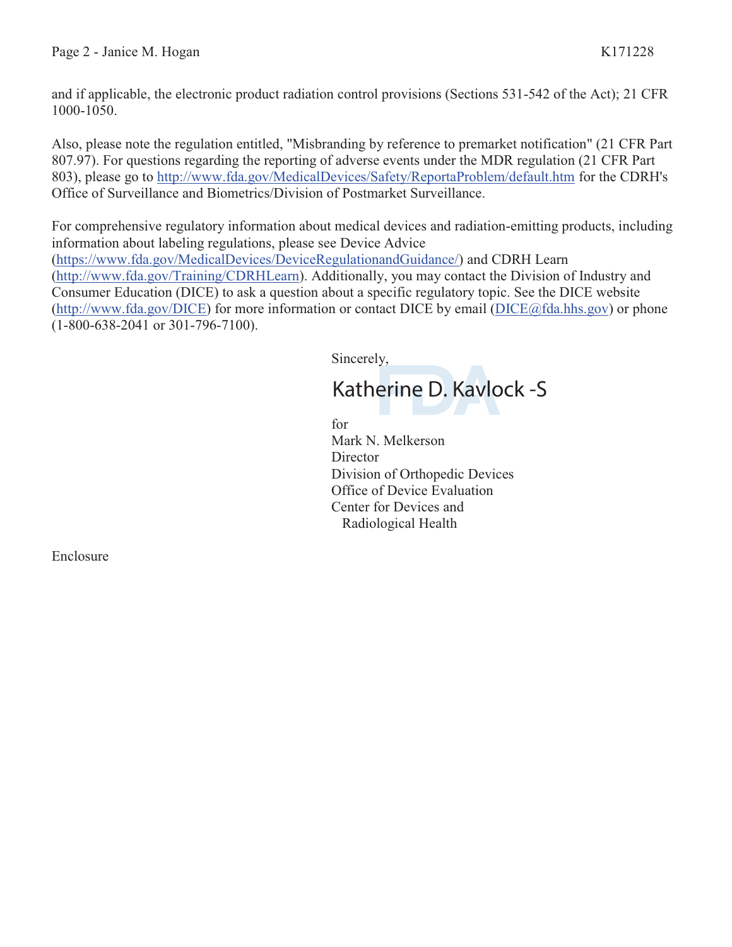and if applicable, the electronic product radiation control provisions (Sections 531-542 of the Act); 21 CFR 1000-1050.

Also, please note the regulation entitled, "Misbranding by reference to premarket notification" (21 CFR Part 807.97). For questions regarding the reporting of adverse events under the MDR regulation (21 CFR Part 803), please go to http://www.fda.gov/MedicalDevices/Safety/ReportaProblem/default.htm for the CDRH's Office of Surveillance and Biometrics/Division of Postmarket Surveillance.

For comprehensive regulatory information about medical devices and radiation-emitting products, including information about labeling regulations, please see Device Advice (https://www.fda.gov/MedicalDevices/DeviceRegulationandGuidance/) and CDRH Learn (http://www.fda.gov/Training/CDRHLearn). Additionally, you may contact the Division of Industry and Consumer Education (DICE) to ask a question about a specific regulatory topic. See the DICE website (http://www.fda.gov/DICE) for more information or contact DICE by email (DICE@fda.hhs.gov) or phone (1-800-638-2041 or 301-796-7100).

Sincerely,

# Katherine D. Kavlock -S

for

Mark N. Melkerson **Director** Division of Orthopedic Devices Office of Device Evaluation Center for Devices and Radiological Health

Enclosure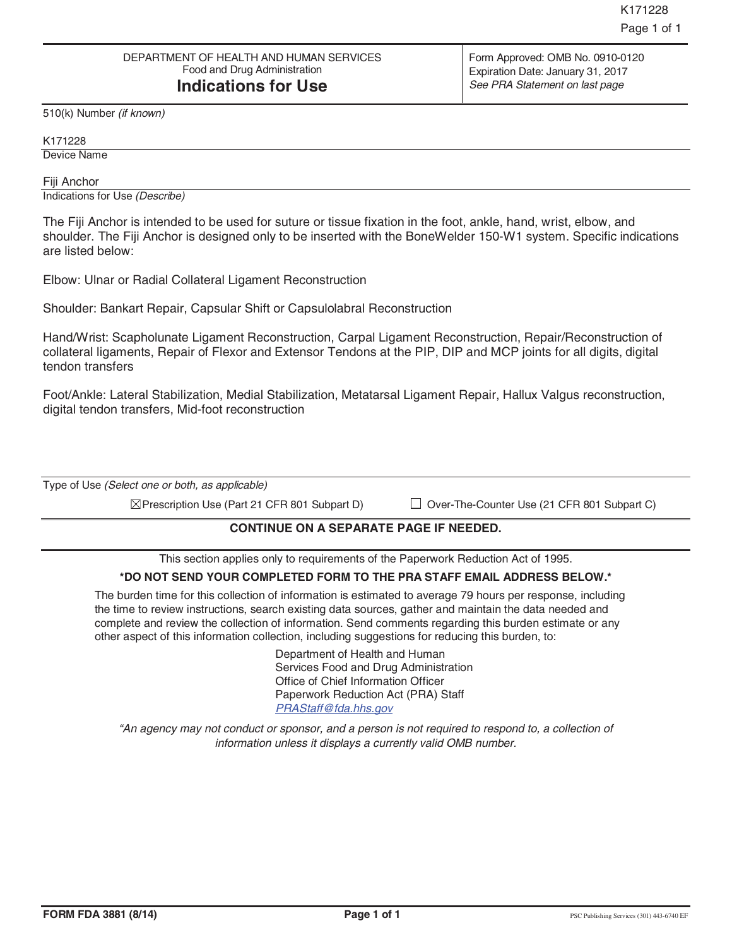510(k) Number *(if known)* 

K171228 Device Name

Fiji Anchor

Indications for Use *(Describe)*

The Fiji Anchor is intended to be used for suture or tissue fixation in the foot, ankle, hand, wrist, elbow, and shoulder. The Fiji Anchor is designed only to be inserted with the BoneWelder 150-W1 system. Specific indications are listed below:

Elbow: Ulnar or Radial Collateral Ligament Reconstruction

Shoulder: Bankart Repair, Capsular Shift or Capsulolabral Reconstruction

Hand/Wrist: Scapholunate Ligament Reconstruction, Carpal Ligament Reconstruction, Repair/Reconstruction of collateral ligaments, Repair of Flexor and Extensor Tendons at the PIP, DIP and MCP joints for all digits, digital tendon transfers

Foot/Ankle: Lateral Stabilization, Medial Stabilization, Metatarsal Ligament Repair, Hallux Valgus reconstruction, digital tendon transfers, Mid-foot reconstruction

Type of Use *(Select one or both, as applicable)*

 $\boxtimes$  Prescription Use (Part 21 CFR 801 Subpart D)

 $\Box$  Over-The-Counter Use (21 CFR 801 Subpart C)

### **CONTINUE ON A SEPARATE PAGE IF NEEDED.**

This section applies only to requirements of the Paperwork Reduction Act of 1995.

#### **\*DO NOT SEND YOUR COMPLETED FORM TO THE PRA STAFF EMAIL ADDRESS BELOW.\***

The burden time for this collection of information is estimated to average 79 hours per response, including the time to review instructions, search existing data sources, gather and maintain the data needed and complete and review the collection of information. Send comments regarding this burden estimate or any other aspect of this information collection, including suggestions for reducing this burden, to:

> Department of Health and Human Services Food and Drug Administration Office of Chief Information Officer Paperwork Reduction Act (PRA) Staff *PRAStaff@fda.hhs.gov*

*"An agency may not conduct or sponsor, and a person is not required to respond to, a collection of information unless it displays a currently valid OMB number.*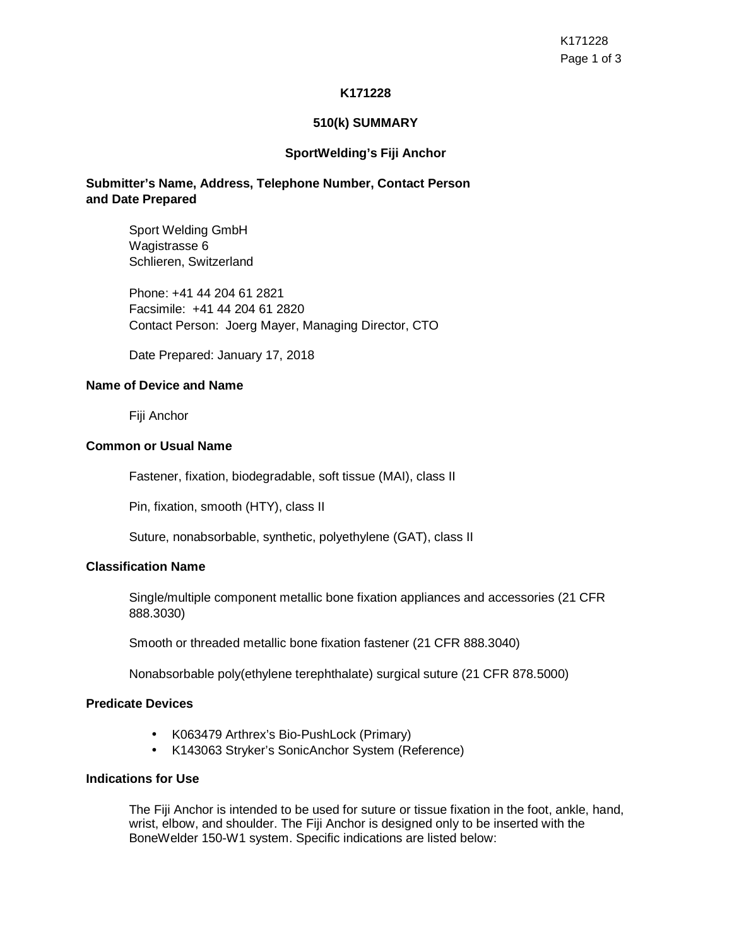# **K171228**

### **510(k) SUMMARY**

#### **SportWelding's Fiji Anchor**

# **Submitter's Name, Address, Telephone Number, Contact Person and Date Prepared**

Sport Welding GmbH Wagistrasse 6 Schlieren, Switzerland

Phone: +41 44 204 61 2821 Facsimile: +41 44 204 61 2820 Contact Person: Joerg Mayer, Managing Director, CTO

Date Prepared: January 17, 2018

#### **Name of Device and Name**

Fiji Anchor

#### **Common or Usual Name**

Fastener, fixation, biodegradable, soft tissue (MAI), class II

Pin, fixation, smooth (HTY), class II

Suture, nonabsorbable, synthetic, polyethylene (GAT), class II

#### **Classification Name**

Single/multiple component metallic bone fixation appliances and accessories (21 CFR 888.3030)

Smooth or threaded metallic bone fixation fastener (21 CFR 888.3040)

Nonabsorbable poly(ethylene terephthalate) surgical suture (21 CFR 878.5000)

#### **Predicate Devices**

- K063479 Arthrex's Bio-PushLock (Primary)
- K143063 Stryker's SonicAnchor System (Reference)

# **Indications for Use**

The Fiji Anchor is intended to be used for suture or tissue fixation in the foot, ankle, hand, wrist, elbow, and shoulder. The Fiji Anchor is designed only to be inserted with the BoneWelder 150-W1 system. Specific indications are listed below: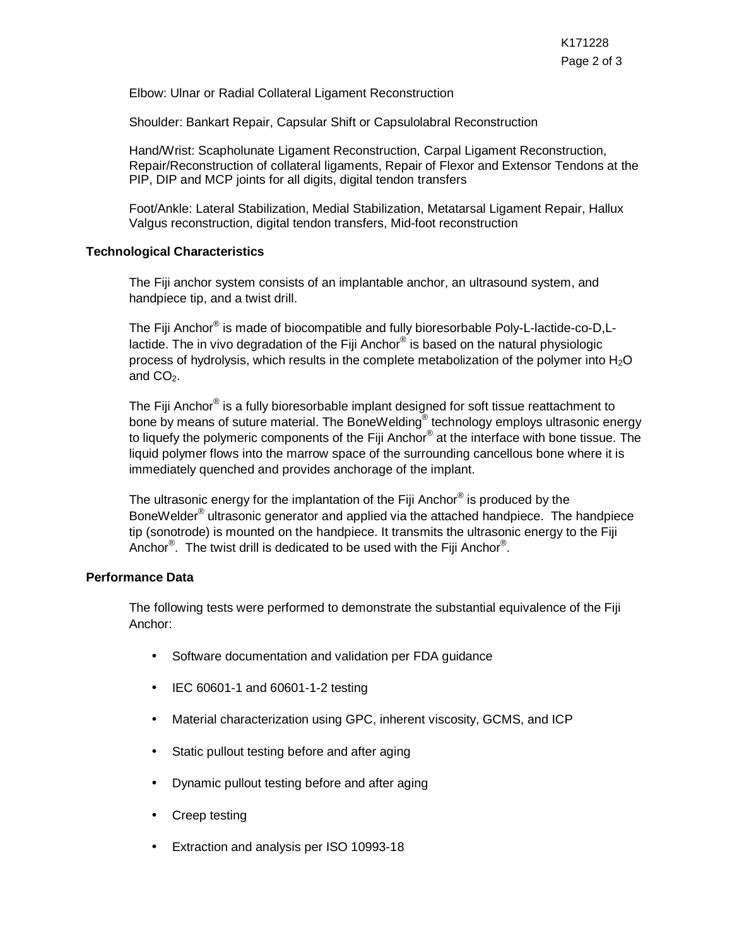Elbow: Ulnar or Radial Collateral Ligament Reconstruction

Shoulder: Bankart Repair, Capsular Shift or Capsulolabral Reconstruction

Hand/Wrist: Scapholunate Ligament Reconstruction, Carpal Ligament Reconstruction, Repair/Reconstruction of collateral ligaments, Repair of Flexor and Extensor Tendons at the PIP, DIP and MCP joints for all digits, digital tendon transfers

Foot/Ankle: Lateral Stabilization, Medial Stabilization, Metatarsal Ligament Repair, Hallux Valgus reconstruction, digital tendon transfers, Mid-foot reconstruction

# **Technological Characteristics**

The Fiji anchor system consists of an implantable anchor, an ultrasound system, and handpiece tip, and a twist drill.

The Fiji Anchor® is made of biocompatible and fully bioresorbable Poly-L-lactide-co-D,Llactide. The in vivo degradation of the Fiji Anchor $^{\circledast}$  is based on the natural physiologic process of hydrolysis, which results in the complete metabolization of the polymer into  $H_2O$ and  $CO<sub>2</sub>$ .

The Fiji Anchor® is a fully bioresorbable implant designed for soft tissue reattachment to bone by means of suture material. The BoneWelding® technology employs ultrasonic energy to liquefy the polymeric components of the Fiji Anchor® at the interface with bone tissue. The liquid polymer flows into the marrow space of the surrounding cancellous bone where it is immediately quenched and provides anchorage of the implant.

The ultrasonic energy for the implantation of the Fiji Anchor® is produced by the BoneWelder<sup>®</sup> ultrasonic generator and applied via the attached handpiece. The handpiece tip (sonotrode) is mounted on the handpiece. It transmits the ultrasonic energy to the Fiji Anchor $^{\circledR}$ . The twist drill is dedicated to be used with the Fiji Anchor $^{\circledR}$ .

#### **Performance Data**

The following tests were performed to demonstrate the substantial equivalence of the Fiji Anchor:

- Software documentation and validation per FDA guidance
- IEC 60601-1 and 60601-1-2 testing
- Material characterization using GPC, inherent viscosity, GCMS, and ICP
- Static pullout testing before and after aging
- Dynamic pullout testing before and after aging
- Creep testing
- Extraction and analysis per ISO 10993-18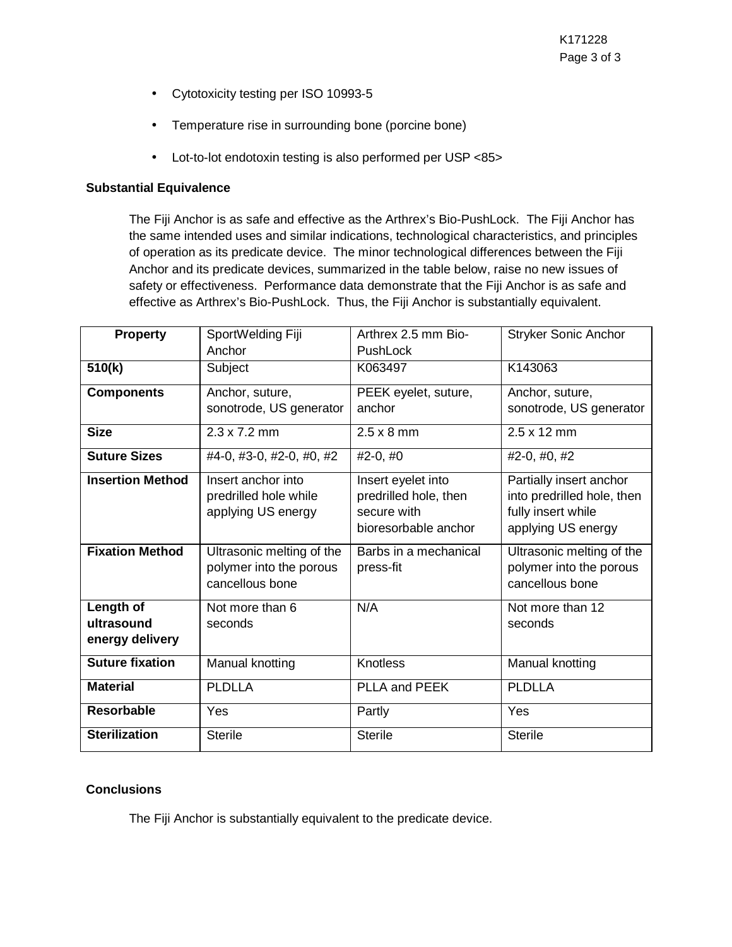- Cytotoxicity testing per ISO 10993-5
- Temperature rise in surrounding bone (porcine bone)
- Lot-to-lot endotoxin testing is also performed per USP <85>

# **Substantial Equivalence**

The Fiji Anchor is as safe and effective as the Arthrex's Bio-PushLock. The Fiji Anchor has the same intended uses and similar indications, technological characteristics, and principles of operation as its predicate device. The minor technological differences between the Fiji Anchor and its predicate devices, summarized in the table below, raise no new issues of safety or effectiveness. Performance data demonstrate that the Fiji Anchor is as safe and effective as Arthrex's Bio-PushLock. Thus, the Fiji Anchor is substantially equivalent.

| <b>Property</b>         | SportWelding Fiji                           | Arthrex 2.5 mm Bio-                         | <b>Stryker Sonic Anchor</b>                           |
|-------------------------|---------------------------------------------|---------------------------------------------|-------------------------------------------------------|
|                         | Anchor                                      | PushLock                                    |                                                       |
| 510(k)                  | Subject                                     | K063497                                     | K143063                                               |
| <b>Components</b>       | Anchor, suture,                             | PEEK eyelet, suture,                        | Anchor, suture,                                       |
|                         | sonotrode, US generator                     | anchor                                      | sonotrode, US generator                               |
| <b>Size</b>             | $2.3 \times 7.2$ mm                         | $2.5 \times 8$ mm                           | $2.5 \times 12$ mm                                    |
| <b>Suture Sizes</b>     | #4-0, #3-0, #2-0, #0, #2                    | $#2-0, #0$                                  | $\overline{42}$ -0, #0, #2                            |
| <b>Insertion Method</b> | Insert anchor into<br>predrilled hole while | Insert eyelet into<br>predrilled hole, then | Partially insert anchor<br>into predrilled hole, then |
|                         | applying US energy                          | secure with                                 | fully insert while                                    |
|                         |                                             | bioresorbable anchor                        | applying US energy                                    |
| <b>Fixation Method</b>  | Ultrasonic melting of the                   | Barbs in a mechanical                       | Ultrasonic melting of the                             |
|                         | polymer into the porous                     | press-fit                                   | polymer into the porous                               |
|                         | cancellous bone                             |                                             | cancellous bone                                       |
| Length of               | Not more than 6                             | N/A                                         | Not more than 12                                      |
| ultrasound              | seconds                                     |                                             | seconds                                               |
| energy delivery         |                                             |                                             |                                                       |
| <b>Suture fixation</b>  | Manual knotting                             | <b>Knotless</b>                             | Manual knotting                                       |
| <b>Material</b>         | <b>PLDLLA</b>                               | PLLA and PEEK                               | <b>PLDLLA</b>                                         |
| <b>Resorbable</b>       | Yes                                         | Partly                                      | Yes                                                   |
| <b>Sterilization</b>    | <b>Sterile</b>                              | <b>Sterile</b>                              | <b>Sterile</b>                                        |

# **Conclusions**

The Fiji Anchor is substantially equivalent to the predicate device.